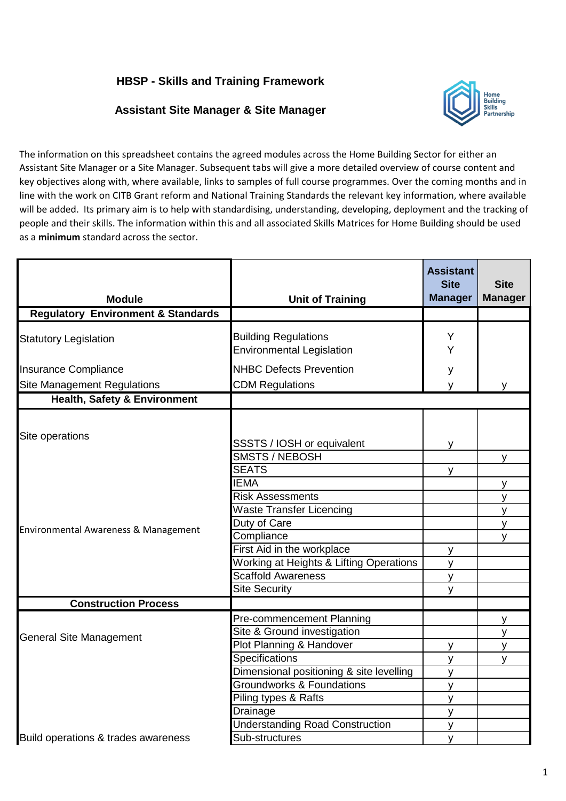## **HBSP - Skills and Training Framework**

## **Assistant Site Manager & Site Manager**



The information on this spreadsheet contains the agreed modules across the Home Building Sector for either an Assistant Site Manager or a Site Manager. Subsequent tabs will give a more detailed overview of course content and key objectives along with, where available, links to samples of full course programmes. Over the coming months and in line with the work on CITB Grant reform and National Training Standards the relevant key information, where available will be added. Its primary aim is to help with standardising, understanding, developing, deployment and the tracking of people and their skills. The information within this and all associated Skills Matrices for Home Building should be used as a **minimum** standard across the sector.

| <b>Module</b>                                           | <b>Unit of Training</b>                                                                                                                                                                                                                                                                                      | <b>Assistant</b><br><b>Site</b><br><b>Manager</b>     | <b>Site</b><br><b>Manager</b>         |
|---------------------------------------------------------|--------------------------------------------------------------------------------------------------------------------------------------------------------------------------------------------------------------------------------------------------------------------------------------------------------------|-------------------------------------------------------|---------------------------------------|
| <b>Regulatory Environment &amp; Standards</b>           |                                                                                                                                                                                                                                                                                                              |                                                       |                                       |
|                                                         |                                                                                                                                                                                                                                                                                                              |                                                       |                                       |
| <b>Statutory Legislation</b>                            | <b>Building Regulations</b><br><b>Environmental Legislation</b>                                                                                                                                                                                                                                              | Y<br>Y                                                |                                       |
| Insurance Compliance                                    | <b>NHBC Defects Prevention</b>                                                                                                                                                                                                                                                                               | у                                                     |                                       |
| <b>Site Management Regulations</b>                      | <b>CDM Regulations</b>                                                                                                                                                                                                                                                                                       | v                                                     |                                       |
| <b>Health, Safety &amp; Environment</b>                 |                                                                                                                                                                                                                                                                                                              |                                                       |                                       |
| Site operations<br>Environmental Awareness & Management | SSSTS / IOSH or equivalent<br><b>SMSTS / NEBOSH</b><br><b>SEATS</b><br><b>IEMA</b><br><b>Risk Assessments</b><br><b>Waste Transfer Licencing</b><br>Duty of Care<br>Compliance<br>First Aid in the workplace<br>Working at Heights & Lifting Operations<br><b>Scaffold Awareness</b><br><b>Site Security</b> | v<br>v<br>y<br>y<br>y<br>$\mathsf{v}$                 | v<br>v<br>$\mathsf{v}$<br>y<br>v<br>٧ |
| <b>Construction Process</b>                             |                                                                                                                                                                                                                                                                                                              |                                                       |                                       |
| <b>General Site Management</b>                          | Pre-commencement Planning<br>Site & Ground investigation<br>Plot Planning & Handover<br>Specifications<br>Dimensional positioning & site levelling<br><b>Groundworks &amp; Foundations</b><br>Piling types & Rafts<br>Drainage<br><b>Understanding Road Construction</b>                                     | y<br>$\mathsf{V}$<br>y<br>y<br>y<br>y<br>$\mathsf{V}$ | У<br>y<br>y<br>v                      |
| Build operations & trades awareness                     | Sub-structures                                                                                                                                                                                                                                                                                               | $\mathsf{V}$                                          |                                       |